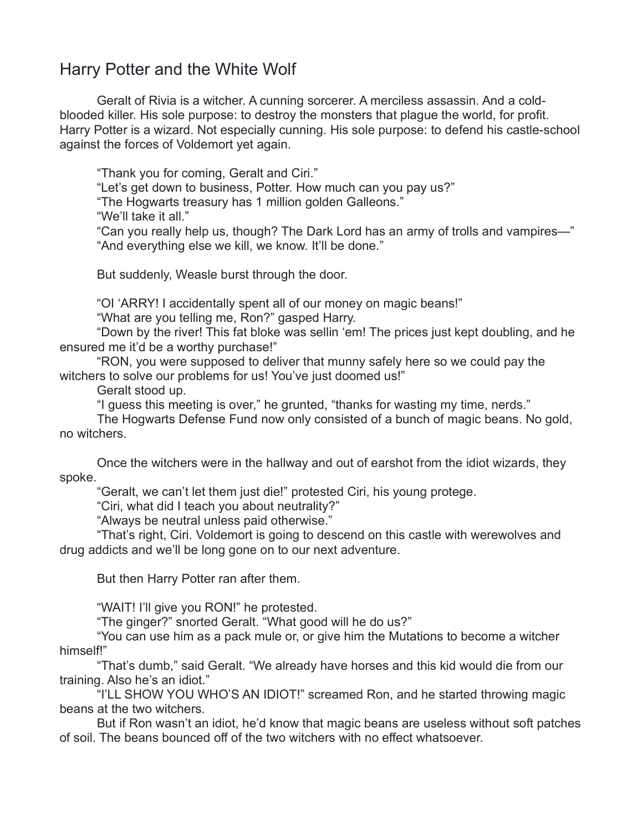## Harry Potter and the White Wolf

Geralt of Rivia is a witcher. A cunning sorcerer. A merciless assassin. And a coldblooded killer. His sole purpose: to destroy the monsters that plague the world, for profit. Harry Potter is a wizard. Not especially cunning. His sole purpose: to defend his castle-school against the forces of Voldemort yet again.

"Thank you for coming, Geralt and Ciri."

"Let's get down to business, Potter. How much can you pay us?"

"The Hogwarts treasury has 1 million golden Galleons."

"We'll take it all."

"Can you really help us, though? The Dark Lord has an army of trolls and vampires—" "And everything else we kill, we know. It'll be done."

But suddenly, Weasle burst through the door.

"OI 'ARRY! I accidentally spent all of our money on magic beans!"

"What are you telling me, Ron?" gasped Harry.

"Down by the river! This fat bloke was sellin 'em! The prices just kept doubling, and he ensured me it'd be a worthy purchase!"

"RON, you were supposed to deliver that munny safely here so we could pay the witchers to solve our problems for us! You've just doomed us!"

Geralt stood up.

"I guess this meeting is over," he grunted, "thanks for wasting my time, nerds."

The Hogwarts Defense Fund now only consisted of a bunch of magic beans. No gold, no witchers.

Once the witchers were in the hallway and out of earshot from the idiot wizards, they spoke.

"Geralt, we can't let them just die!" protested Ciri, his young protege.

"Ciri, what did I teach you about neutrality?"

"Always be neutral unless paid otherwise."

"That's right, Ciri. Voldemort is going to descend on this castle with werewolves and drug addicts and we'll be long gone on to our next adventure.

But then Harry Potter ran after them.

"WAIT! I'll give you RON!" he protested.

"The ginger?" snorted Geralt. "What good will he do us?"

"You can use him as a pack mule or, or give him the Mutations to become a witcher himself!"

"That's dumb," said Geralt. "We already have horses and this kid would die from our training. Also he's an idiot."

"I'LL SHOW YOU WHO'S AN IDIOT!" screamed Ron, and he started throwing magic beans at the two witchers.

But if Ron wasn't an idiot, he'd know that magic beans are useless without soft patches of soil. The beans bounced off of the two witchers with no effect whatsoever.